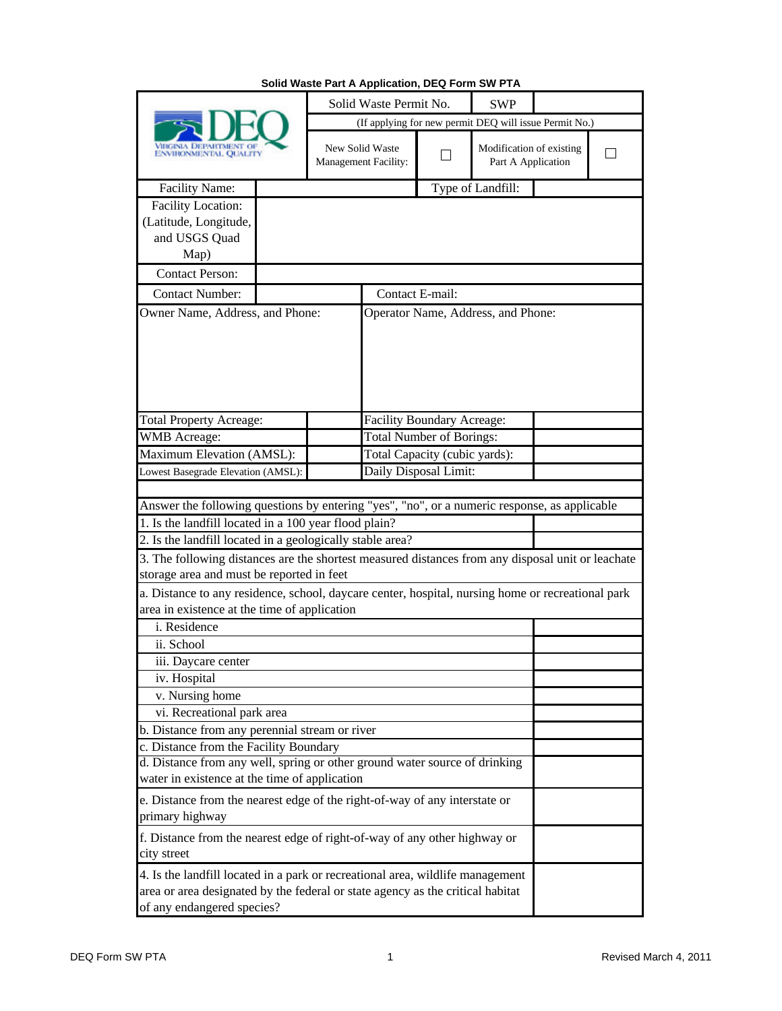| ENVIRONMENTAL QUALITY                                                                                                                                                                          |  | Solid Waste Permit No.<br><b>SWP</b>                   |                                                       |                   |                                                |  |  |
|------------------------------------------------------------------------------------------------------------------------------------------------------------------------------------------------|--|--------------------------------------------------------|-------------------------------------------------------|-------------------|------------------------------------------------|--|--|
|                                                                                                                                                                                                |  | (If applying for new permit DEQ will issue Permit No.) |                                                       |                   |                                                |  |  |
|                                                                                                                                                                                                |  | New Solid Waste<br>Management Facility:                |                                                       | ×.                | Modification of existing<br>Part A Application |  |  |
| <b>Facility Name:</b>                                                                                                                                                                          |  |                                                        |                                                       | Type of Landfill: |                                                |  |  |
| Facility Location:                                                                                                                                                                             |  |                                                        |                                                       |                   |                                                |  |  |
| (Latitude, Longitude,                                                                                                                                                                          |  |                                                        |                                                       |                   |                                                |  |  |
| and USGS Quad                                                                                                                                                                                  |  |                                                        |                                                       |                   |                                                |  |  |
| Map)                                                                                                                                                                                           |  |                                                        |                                                       |                   |                                                |  |  |
| <b>Contact Person:</b>                                                                                                                                                                         |  |                                                        |                                                       |                   |                                                |  |  |
| <b>Contact Number:</b><br>Owner Name, Address, and Phone:                                                                                                                                      |  |                                                        | Contact E-mail:<br>Operator Name, Address, and Phone: |                   |                                                |  |  |
|                                                                                                                                                                                                |  |                                                        |                                                       |                   |                                                |  |  |
| <b>Total Property Acreage:</b>                                                                                                                                                                 |  |                                                        | <b>Facility Boundary Acreage:</b>                     |                   |                                                |  |  |
| <b>WMB</b> Acreage:                                                                                                                                                                            |  |                                                        | <b>Total Number of Borings:</b>                       |                   |                                                |  |  |
| Maximum Elevation (AMSL):                                                                                                                                                                      |  |                                                        | Total Capacity (cubic yards):                         |                   |                                                |  |  |
| Daily Disposal Limit:<br>Lowest Basegrade Elevation (AMSL):                                                                                                                                    |  |                                                        |                                                       |                   |                                                |  |  |
|                                                                                                                                                                                                |  |                                                        |                                                       |                   |                                                |  |  |
| Answer the following questions by entering "yes", "no", or a numeric response, as applicable<br>1. Is the landfill located in a 100 year flood plain?                                          |  |                                                        |                                                       |                   |                                                |  |  |
| 2. Is the landfill located in a geologically stable area?                                                                                                                                      |  |                                                        |                                                       |                   |                                                |  |  |
| 3. The following distances are the shortest measured distances from any disposal unit or leachate                                                                                              |  |                                                        |                                                       |                   |                                                |  |  |
| storage area and must be reported in feet                                                                                                                                                      |  |                                                        |                                                       |                   |                                                |  |  |
| a. Distance to any residence, school, daycare center, hospital, nursing home or recreational park                                                                                              |  |                                                        |                                                       |                   |                                                |  |  |
| area in existence at the time of application<br>i. Residence                                                                                                                                   |  |                                                        |                                                       |                   |                                                |  |  |
| ii. School                                                                                                                                                                                     |  |                                                        |                                                       |                   |                                                |  |  |
| iii. Daycare center                                                                                                                                                                            |  |                                                        |                                                       |                   |                                                |  |  |
| iv. Hospital                                                                                                                                                                                   |  |                                                        |                                                       |                   |                                                |  |  |
| v. Nursing home                                                                                                                                                                                |  |                                                        |                                                       |                   |                                                |  |  |
| vi. Recreational park area                                                                                                                                                                     |  |                                                        |                                                       |                   |                                                |  |  |
| b. Distance from any perennial stream or river                                                                                                                                                 |  |                                                        |                                                       |                   |                                                |  |  |
| c. Distance from the Facility Boundary                                                                                                                                                         |  |                                                        |                                                       |                   |                                                |  |  |
| d. Distance from any well, spring or other ground water source of drinking<br>water in existence at the time of application                                                                    |  |                                                        |                                                       |                   |                                                |  |  |
| e. Distance from the nearest edge of the right-of-way of any interstate or<br>primary highway                                                                                                  |  |                                                        |                                                       |                   |                                                |  |  |
| f. Distance from the nearest edge of right-of-way of any other highway or<br>city street                                                                                                       |  |                                                        |                                                       |                   |                                                |  |  |
| 4. Is the landfill located in a park or recreational area, wildlife management<br>area or area designated by the federal or state agency as the critical habitat<br>of any endangered species? |  |                                                        |                                                       |                   |                                                |  |  |

## **Solid Waste Part A Application, DEQ Form SW PTA**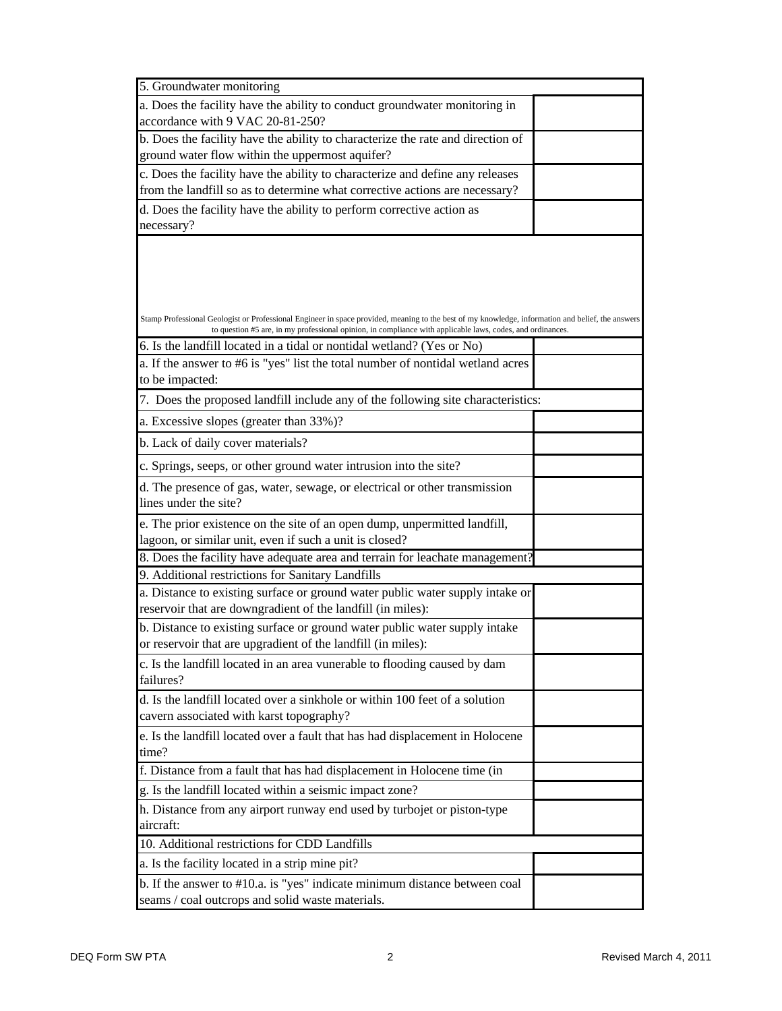| 5. Groundwater monitoring                                                                                                                                                                                                                                       |  |  |  |  |  |  |  |
|-----------------------------------------------------------------------------------------------------------------------------------------------------------------------------------------------------------------------------------------------------------------|--|--|--|--|--|--|--|
| a. Does the facility have the ability to conduct groundwater monitoring in                                                                                                                                                                                      |  |  |  |  |  |  |  |
| accordance with 9 VAC 20-81-250?                                                                                                                                                                                                                                |  |  |  |  |  |  |  |
| b. Does the facility have the ability to characterize the rate and direction of                                                                                                                                                                                 |  |  |  |  |  |  |  |
| ground water flow within the uppermost aquifer?                                                                                                                                                                                                                 |  |  |  |  |  |  |  |
| c. Does the facility have the ability to characterize and define any releases                                                                                                                                                                                   |  |  |  |  |  |  |  |
| from the landfill so as to determine what corrective actions are necessary?                                                                                                                                                                                     |  |  |  |  |  |  |  |
| d. Does the facility have the ability to perform corrective action as                                                                                                                                                                                           |  |  |  |  |  |  |  |
| necessary?                                                                                                                                                                                                                                                      |  |  |  |  |  |  |  |
|                                                                                                                                                                                                                                                                 |  |  |  |  |  |  |  |
|                                                                                                                                                                                                                                                                 |  |  |  |  |  |  |  |
|                                                                                                                                                                                                                                                                 |  |  |  |  |  |  |  |
|                                                                                                                                                                                                                                                                 |  |  |  |  |  |  |  |
| Stamp Professional Geologist or Professional Engineer in space provided, meaning to the best of my knowledge, information and belief, the answers<br>to question #5 are, in my professional opinion, in compliance with applicable laws, codes, and ordinances. |  |  |  |  |  |  |  |
| 6. Is the landfill located in a tidal or nontidal wetland? (Yes or No)                                                                                                                                                                                          |  |  |  |  |  |  |  |
| a. If the answer to #6 is "yes" list the total number of nontidal wetland acres                                                                                                                                                                                 |  |  |  |  |  |  |  |
| to be impacted:                                                                                                                                                                                                                                                 |  |  |  |  |  |  |  |
| 7. Does the proposed landfill include any of the following site characteristics:                                                                                                                                                                                |  |  |  |  |  |  |  |
| a. Excessive slopes (greater than 33%)?                                                                                                                                                                                                                         |  |  |  |  |  |  |  |
| b. Lack of daily cover materials?                                                                                                                                                                                                                               |  |  |  |  |  |  |  |
| c. Springs, seeps, or other ground water intrusion into the site?                                                                                                                                                                                               |  |  |  |  |  |  |  |
| d. The presence of gas, water, sewage, or electrical or other transmission                                                                                                                                                                                      |  |  |  |  |  |  |  |
| lines under the site?                                                                                                                                                                                                                                           |  |  |  |  |  |  |  |
| e. The prior existence on the site of an open dump, unpermitted landfill,                                                                                                                                                                                       |  |  |  |  |  |  |  |
| lagoon, or similar unit, even if such a unit is closed?                                                                                                                                                                                                         |  |  |  |  |  |  |  |
| 8. Does the facility have adequate area and terrain for leachate management?                                                                                                                                                                                    |  |  |  |  |  |  |  |
| 9. Additional restrictions for Sanitary Landfills                                                                                                                                                                                                               |  |  |  |  |  |  |  |
| a. Distance to existing surface or ground water public water supply intake or<br>reservoir that are downgradient of the landfill (in miles):                                                                                                                    |  |  |  |  |  |  |  |
| b. Distance to existing surface or ground water public water supply intake                                                                                                                                                                                      |  |  |  |  |  |  |  |
| or reservoir that are upgradient of the landfill (in miles):                                                                                                                                                                                                    |  |  |  |  |  |  |  |
| c. Is the landfill located in an area vunerable to flooding caused by dam                                                                                                                                                                                       |  |  |  |  |  |  |  |
| failures?                                                                                                                                                                                                                                                       |  |  |  |  |  |  |  |
| d. Is the landfill located over a sinkhole or within 100 feet of a solution                                                                                                                                                                                     |  |  |  |  |  |  |  |
| cavern associated with karst topography?                                                                                                                                                                                                                        |  |  |  |  |  |  |  |
| e. Is the landfill located over a fault that has had displacement in Holocene                                                                                                                                                                                   |  |  |  |  |  |  |  |
| time?                                                                                                                                                                                                                                                           |  |  |  |  |  |  |  |
| f. Distance from a fault that has had displacement in Holocene time (in                                                                                                                                                                                         |  |  |  |  |  |  |  |
| g. Is the landfill located within a seismic impact zone?                                                                                                                                                                                                        |  |  |  |  |  |  |  |
| h. Distance from any airport runway end used by turbojet or piston-type                                                                                                                                                                                         |  |  |  |  |  |  |  |
| aircraft:                                                                                                                                                                                                                                                       |  |  |  |  |  |  |  |
| 10. Additional restrictions for CDD Landfills                                                                                                                                                                                                                   |  |  |  |  |  |  |  |
| a. Is the facility located in a strip mine pit?                                                                                                                                                                                                                 |  |  |  |  |  |  |  |
| b. If the answer to #10.a. is "yes" indicate minimum distance between coal                                                                                                                                                                                      |  |  |  |  |  |  |  |
| seams / coal outcrops and solid waste materials.                                                                                                                                                                                                                |  |  |  |  |  |  |  |